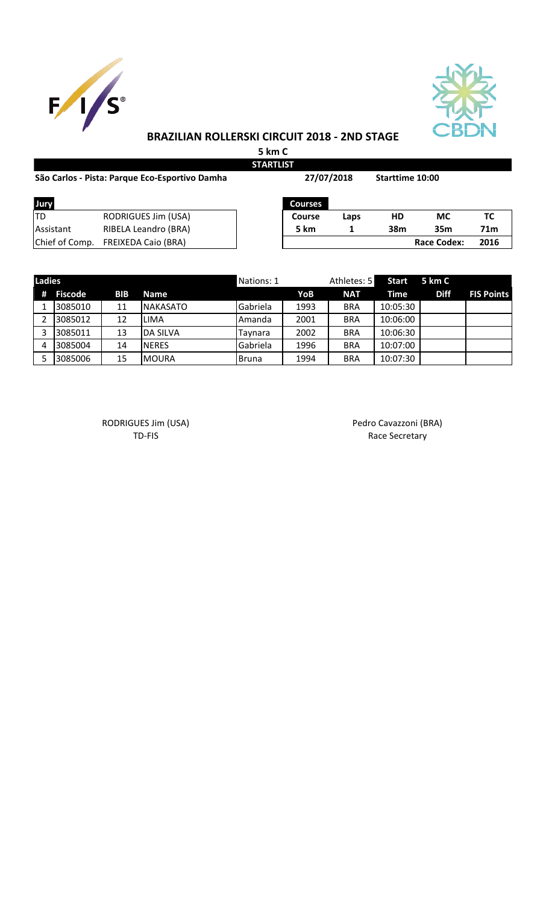



## **BRAZILIAN ROLLERSKI CIRCUIT 2018 - 2ND STAGE**

**5 km C STARTLIST**

| São Carlos - Pista: Parque Eco-Esportivo Damha |                            |  | 27/07/2018     |      | Starttime 10:00 |                    |                 |
|------------------------------------------------|----------------------------|--|----------------|------|-----------------|--------------------|-----------------|
| Jury                                           |                            |  | <b>Courses</b> |      |                 |                    |                 |
| <b>TD</b>                                      | RODRIGUES Jim (USA)        |  | <b>Course</b>  | Laps | <b>HD</b>       | МC                 | тс              |
| <b>Assistant</b>                               | RIBELA Leandro (BRA)       |  | 5 km           |      | 38m             | 35 <sub>m</sub>    | 71 <sub>m</sub> |
| Chief of Comp.                                 | <b>FREIXEDA Caio (BRA)</b> |  |                |      |                 | <b>Race Codex:</b> | 2016            |

| <b>Ladies</b> |           |            |                  | Nations: 1 |      | Athletes: 5 | Start    | 5 km C      |                   |
|---------------|-----------|------------|------------------|------------|------|-------------|----------|-------------|-------------------|
|               | # Fiscode | <b>BIB</b> | <b>Name</b>      |            | YoB  | <b>NAT</b>  | Time     | <b>Diff</b> | <b>FIS Points</b> |
|               | 3085010   | 11         | <b>NAKASATO</b>  | Gabriela   | 1993 | <b>BRA</b>  | 10:05:30 |             |                   |
|               | 3085012   | 12         | <b>ILIMA</b>     | Amanda     | 2001 | <b>BRA</b>  | 10:06:00 |             |                   |
|               | 3085011   | 13         | <b>IDA SILVA</b> | Taynara    | 2002 | <b>BRA</b>  | 10:06:30 |             |                   |
| 4             | 3085004   | 14         | <b>INERES</b>    | Gabriela   | 1996 | <b>BRA</b>  | 10:07:00 |             |                   |
|               | 3085006   | 15         | MOURA            | Bruna      | 1994 | <b>BRA</b>  | 10:07:30 |             |                   |

RODRIGUES Jim (USA) Pedro Cavazzoni (BRA)

TD-FIS Race Secretary